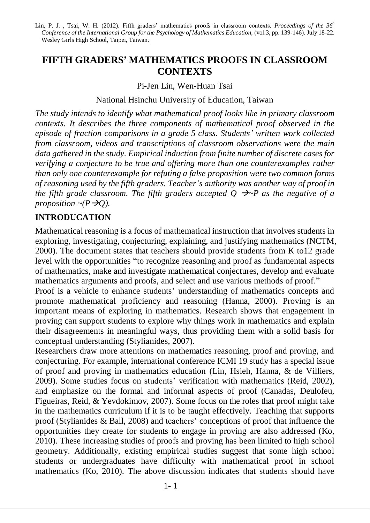Lin, P. J. , Tsai, W. H. (2012). Fifth graders' mathematics proofs in classroom contexts. *Proceedings of the 36<sup>h</sup> Conference of the International Group for the Psychology of Mathematics Education,* (vol.3, pp. 139-146). July 18-22. Wesley Girls High School, Taipei, Taiwan.

# **FIFTH GRADERS' MATHEMATICS PROOFS IN CLASSROOM CONTEXTS**

Pi-Jen Lin, Wen-Huan Tsai

National Hsinchu University of Education, Taiwan

*The study intends to identify what mathematical proof looks like in primary classroom contexts. It describes the three components of mathematical proof observed in the episode of fraction comparisons in a grade 5 class. Students' written work collected from classroom, videos and transcriptions of classroom observations were the main data gathered in the study. Empirical induction from finite number of discrete cases for verifying a conjecture to be true and offering more than one counterexamples rather than only one counterexample for refuting a false proposition were two common forms of reasoning used by the fifth graders. Teacher's authority was another way of proof in the fifth grade classroom. The fifth graders accepted*  $\overline{O}$  $\rightarrow$  *P as the negative of a proposition*  $\sim (P \rightarrow Q)$ .

## **INTRODUCATION**

Mathematical reasoning is a focus of mathematical instruction that involves students in exploring, investigating, conjecturing, explaining, and justifying mathematics (NCTM, 2000). The document states that teachers should provide students from K to12 grade level with the opportunities "to recognize reasoning and proof as fundamental aspects of mathematics, make and investigate mathematical conjectures, develop and evaluate mathematics arguments and proofs, and select and use various methods of proof."

Proof is a vehicle to enhance students' understanding of mathematics concepts and promote mathematical proficiency and reasoning (Hanna, 2000). Proving is an important means of exploring in mathematics. Research shows that engagement in proving can support students to explore why things work in mathematics and explain their disagreements in meaningful ways, thus providing them with a solid basis for conceptual understanding (Stylianides, 2007).

Researchers draw more attentions on mathematics reasoning, proof and proving, and conjecturing. For example, international conference ICMI 19 study has a special issue of proof and proving in mathematics education (Lin, Hsieh, Hanna, & de Villiers, 2009). Some studies focus on students' verification with mathematics (Reid, 2002), and emphasize on the formal and informal aspects of proof (Canadas, Deulofeu, Figueiras, Reid, & Yevdokimov, 2007). Some focus on the roles that proof might take in the mathematics curriculum if it is to be taught effectively. Teaching that supports proof (Stylianides & Ball, 2008) and teachers' conceptions of proof that influence the opportunities they create for students to engage in proving are also addressed (Ko, 2010). These increasing studies of proofs and proving has been limited to high school geometry. Additionally, existing empirical studies suggest that some high school students or undergraduates have difficulty with mathematical proof in school mathematics (Ko, 2010). The above discussion indicates that students should have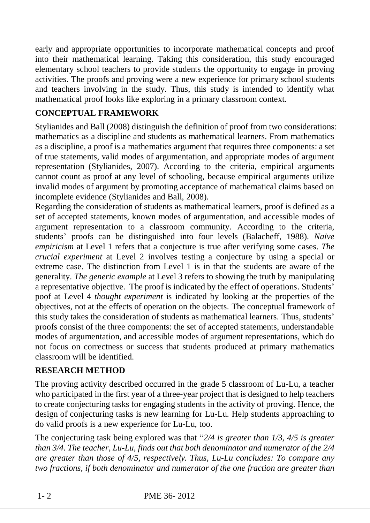early and appropriate opportunities to incorporate mathematical concepts and proof into their mathematical learning. Taking this consideration, this study encouraged elementary school teachers to provide students the opportunity to engage in proving activities. The proofs and proving were a new experience for primary school students and teachers involving in the study. Thus, this study is intended to identify what mathematical proof looks like exploring in a primary classroom context.

## **CONCEPTUAL FRAMEWORK**

Stylianides and Ball (2008) distinguish the definition of proof from two considerations: mathematics as a discipline and students as mathematical learners. From mathematics as a discipline, a proof is a mathematics argument that requires three components: a set of true statements, valid modes of argumentation, and appropriate modes of argument representation (Stylianides, 2007). According to the criteria, empirical arguments cannot count as proof at any level of schooling, because empirical arguments utilize invalid modes of argument by promoting acceptance of mathematical claims based on incomplete evidence (Stylianides and Ball, 2008).

Regarding the consideration of students as mathematical learners, proof is defined as a set of accepted statements, known modes of argumentation, and accessible modes of argument representation to a classroom community. According to the criteria, students' proofs can be distinguished into four levels (Balacheff, 1988). *Naïve empiricism* at Level 1 refers that a conjecture is true after verifying some cases. *The crucial experiment* at Level 2 involves testing a conjecture by using a special or extreme case. The distinction from Level 1 is in that the students are aware of the generality. *The generic example* at Level 3 refers to showing the truth by manipulating a representative objective. The proof is indicated by the effect of operations. Students' poof at Level 4 *thought experiment* is indicated by looking at the properties of the objectives, not at the effects of operation on the objects. The conceptual framework of this study takes the consideration of students as mathematical learners. Thus, students' proofs consist of the three components: the set of accepted statements, understandable modes of argumentation, and accessible modes of argument representations, which do not focus on correctness or success that students produced at primary mathematics classroom will be identified.

## **RESEARCH METHOD**

The proving activity described occurred in the grade 5 classroom of Lu-Lu, a teacher who participated in the first year of a three-year project that is designed to help teachers to create conjecturing tasks for engaging students in the activity of proving. Hence, the design of conjecturing tasks is new learning for Lu-Lu. Help students approaching to do valid proofs is a new experience for Lu-Lu, too.

The conjecturing task being explored was that "*2/4 is greater than 1/3, 4/5 is greater than 3/4. The teacher, Lu-Lu, finds out that both denominator and numerator of the 2/4 are greater than those of 4/5, respectively. Thus, Lu-Lu concludes: To compare any two fractions, if both denominator and numerator of the one fraction are greater than*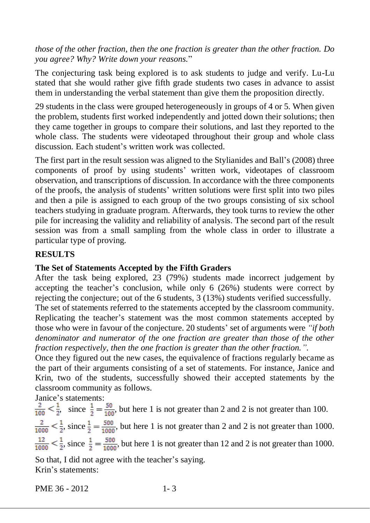*those of the other fraction, then the one fraction is greater than the other fraction. Do you agree? Why? Write down your reasons.*"

The conjecturing task being explored is to ask students to judge and verify. Lu-Lu stated that she would rather give fifth grade students two cases in advance to assist them in understanding the verbal statement than give them the proposition directly.

29 students in the class were grouped heterogeneously in groups of 4 or 5. When given the problem, students first worked independently and jotted down their solutions; then they came together in groups to compare their solutions, and last they reported to the whole class. The students were videotaped throughout their group and whole class discussion. Each student's written work was collected.

The first part in the result session was aligned to the Stylianides and Ball's (2008) three components of proof by using students' written work, videotapes of classroom observation, and transcriptions of discussion. In accordance with the three components of the proofs, the analysis of students' written solutions were first split into two piles and then a pile is assigned to each group of the two groups consisting of six school teachers studying in graduate program. Afterwards, they took turns to review the other pile for increasing the validity and reliability of analysis. The second part of the result session was from a small sampling from the whole class in order to illustrate a particular type of proving.

#### **RESULTS**

#### **The Set of Statements Accepted by the Fifth Graders**

After the task being explored, 23 (79%) students made incorrect judgement by accepting the teacher's conclusion, while only 6 (26%) students were correct by rejecting the conjecture; out of the 6 students, 3 (13%) students verified successfully.

The set of statements referred to the statements accepted by the classroom community. Replicating the teacher's statement was the most common statements accepted by those who were in favour of the conjecture. 20 students' set of arguments were *"if both denominator and numerator of the one fraction are greater than those of the other fraction respectively, then the one fraction is greater than the other fraction.".* 

Once they figured out the new cases, the equivalence of fractions regularly became as the part of their arguments consisting of a set of statements. For instance, Janice and Krin, two of the students, successfully showed their accepted statements by the classroom community as follows.

Janice's statements:

 $\frac{2}{100} < \frac{1}{2}$ , since  $\frac{1}{2} = \frac{50}{100}$ , but here 1 is not greater than 2 and 2 is not greater than 100.  $\frac{2}{1000} < \frac{1}{2}$ , since  $\frac{1}{2} = \frac{500}{1000}$ , but here 1 is not greater than 2 and 2 is not greater than 1000.  $\frac{12}{1000} < \frac{1}{2}$ , since  $\frac{1}{2} = \frac{500}{1000}$ , but here 1 is not greater than 12 and 2 is not greater than 1000. So that, I did not agree with the teacher's saying.

Krin's statements:

PME 36 - 2012 1-3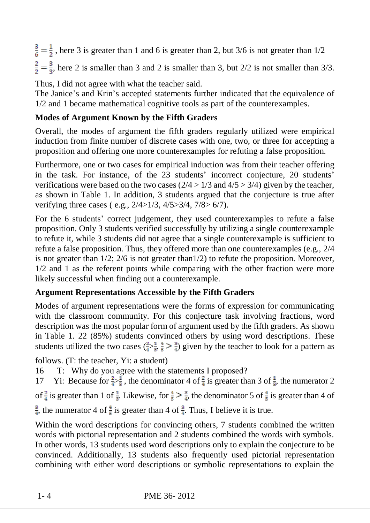$\frac{3}{6} = \frac{1}{2}$ , here 3 is greater than 1 and 6 is greater than 2, but 3/6 is not greater than 1/2  $\frac{2}{2} = \frac{3}{3}$ , here 2 is smaller than 3 and 2 is smaller than 3, but 2/2 is not smaller than 3/3.

Thus, I did not agree with what the teacher said.

The Janice's and Krin's accepted statements further indicated that the equivalence of 1/2 and 1 became mathematical cognitive tools as part of the counterexamples.

## **Modes of Argument Known by the Fifth Graders**

Overall, the modes of argument the fifth graders regularly utilized were empirical induction from finite number of discrete cases with one, two, or three for accepting a proposition and offering one more counterexamples for refuting a false proposition.

Furthermore, one or two cases for empirical induction was from their teacher offering in the task. For instance, of the 23 students' incorrect conjecture, 20 students' verifications were based on the two cases  $(2/4 > 1/3$  and  $4/5 > 3/4$ ) given by the teacher, as shown in Table 1. In addition, 3 students argued that the conjecture is true after verifying three cases ( e.g., 2/4>1/3, 4/5>3/4, 7/8> 6/7).

For the 6 students' correct judgement, they used counterexamples to refute a false proposition. Only 3 students verified successfully by utilizing a single counterexample to refute it, while 3 students did not agree that a single counterexample is sufficient to refute a false proposition. Thus, they offered more than one counterexamples (e.g., 2/4 is not greater than 1/2; 2/6 is not greater than1/2) to refute the proposition. Moreover, 1/2 and 1 as the referent points while comparing with the other fraction were more likely successful when finding out a counterexample.

## **Argument Representations Accessible by the Fifth Graders**

Modes of argument representations were the forms of expression for communicating with the classroom community. For this conjecture task involving fractions, word description was the most popular form of argument used by the fifth graders. As shown in Table 1. 22 (85%) students convinced others by using word descriptions. These students utilized the two cases  $(\frac{2}{4}, \frac{1}{5}, \frac{4}{5})$  given by the teacher to look for a pattern as

follows. (T: the teacher, Yi: a student)

16 T: Why do you agree with the statements I proposed?

17 Yi: Because for  $\frac{2}{3}$ , the denominator 4 of  $\frac{2}{3}$  is greater than 3 of  $\frac{1}{3}$ , the numerator 2 of  $\frac{2}{4}$  is greater than 1 of  $\frac{1}{3}$ . Likewise, for  $\frac{4}{5} > \frac{3}{4}$ , the denominator 5 of  $\frac{4}{5}$  is greater than 4 of

 $\frac{3}{4}$ , the numerator 4 of  $\frac{4}{5}$  is greater than 4 of  $\frac{3}{4}$ . Thus, I believe it is true.

Within the word descriptions for convincing others, 7 students combined the written words with pictorial representation and 2 students combined the words with symbols. In other words, 13 students used word descriptions only to explain the conjecture to be convinced. Additionally, 13 students also frequently used pictorial representation combining with either word descriptions or symbolic representations to explain the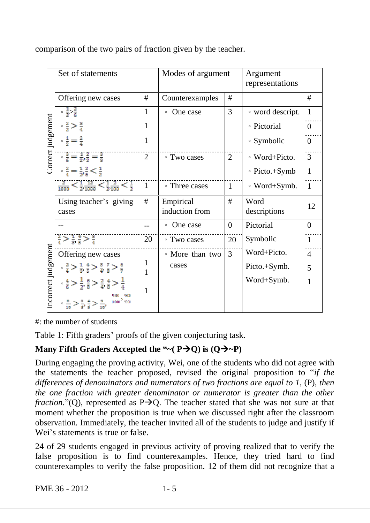|                     | Set of statements                                                                                                                                                         |                | Modes of argument           |                | Argument<br>representations |                |
|---------------------|---------------------------------------------------------------------------------------------------------------------------------------------------------------------------|----------------|-----------------------------|----------------|-----------------------------|----------------|
| Correct judgement   | Offering new cases                                                                                                                                                        | #              | Counterexamples             | #              |                             | #              |
|                     | $\frac{1}{2}$ $\frac{2}{6}$                                                                                                                                               | 1              | One case<br>$\circ$         | 3              | • word descript.            | 1              |
|                     | $\frac{2}{2}$ > $\frac{3}{4}$                                                                                                                                             | 1              |                             |                | • Pictorial                 | $\theta$       |
|                     | $\frac{1}{2} = \frac{2}{4}$                                                                                                                                               | 1              |                             |                | ∘ Symbolic                  | $\Omega$       |
|                     | $\frac{3}{6} = \frac{1}{2}$ , $\frac{2}{2} = \frac{3}{3}$                                                                                                                 | $\overline{2}$ | • Two cases                 | $\overline{2}$ | ∘ Word+Picto.               | 3              |
|                     | $\frac{2}{4} = \frac{1}{2}$ , $\frac{2}{6} < \frac{1}{2}$                                                                                                                 |                |                             |                | $\circ$ Picto.+Symb         | 1              |
|                     | $\frac{2}{1000} < \frac{1}{2}, \frac{12}{1000} < \frac{1}{2}, \frac{2}{100} < \frac{1}{2}$                                                                                | $\mathbf{1}$   | • Three cases               | $\mathbf{1}$   | $\circ$ Word+Symb.          | $\mathbf{1}$   |
|                     | Using teacher's giving<br>cases                                                                                                                                           | #              | Empirical<br>induction from | #              | Word<br>descriptions        | 12             |
| Incorrect judgement |                                                                                                                                                                           |                | One case<br>$\circ$         | $\Omega$       | Pictorial                   | $\Omega$       |
|                     | $\frac{2}{4}$ > $\frac{1}{3}$ , $\frac{4}{5}$ > $\frac{3}{4}$                                                                                                             | 20             | • Two cases                 | 20             | Symbolic                    | 1              |
|                     | Offering new cases                                                                                                                                                        |                | • More than two             | 3              | Word+Picto.                 | $\overline{4}$ |
|                     | $\frac{2}{4}$ > $\frac{1}{3}, \frac{4}{5}$ > $\frac{3}{4}, \frac{7}{8}$ > $\frac{6}{7}$                                                                                   | 1              | cases                       |                | Picto.+Symb.                | 5              |
|                     | $\frac{4}{6}$ > $\frac{1}{2}$ , $\frac{6}{8}$ > $\frac{2}{4}$ , $\frac{4}{8}$ > $\frac{1}{4}$<br>$\frac{8}{10}$ > $\frac{8}{5}$ , $\frac{4}{5}$ > $\frac{9}{10}$<br>10000 | $\mathbf{1}$   |                             |                | Word+Symb.                  | 1              |

comparison of the two pairs of fraction given by the teacher.

#: the number of students

Table 1: Fifth graders' proofs of the given conjecturing task.

# **Many Fifth Graders Accepted the "** $\sim$  **(P** $\rightarrow$ **Q) is (Q** $\rightarrow$  $\sim$ **P)**

During engaging the proving activity, Wei, one of the students who did not agree with the statements the teacher proposed, revised the original proposition to "*if the differences of denominators and numerators of two fractions are equal to 1,* (P), *then the one fraction with greater denominator or numerator is greater than the other fraction.*"(Q), represented as  $P\rightarrow Q$ . The teacher stated that she was not sure at that moment whether the proposition is true when we discussed right after the classroom observation. Immediately, the teacher invited all of the students to judge and justify if Wei's statements is true or false.

24 of 29 students engaged in previous activity of proving realized that to verify the false proposition is to find counterexamples. Hence, they tried hard to find counterexamples to verify the false proposition. 12 of them did not recognize that a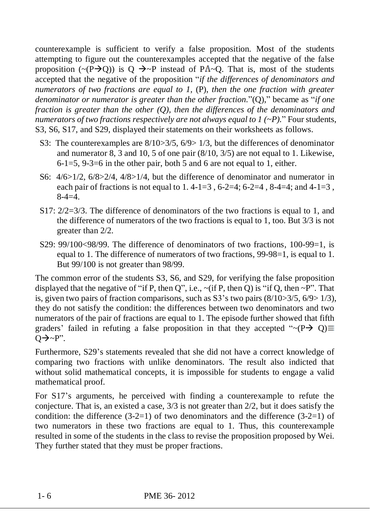counterexample is sufficient to verify a false proposition. Most of the students attempting to figure out the counterexamples accepted that the negative of the false proposition ( $\sim (P \rightarrow Q)$ ) is Q  $\rightarrow \sim P$  instead of P $\Lambda \sim Q$ . That is, most of the students accepted that the negative of the proposition "*if the differences of denominators and numerators of two fractions are equal to 1,* (P), *then the one fraction with greater denominator or numerator is greater than the other fraction.*"(Q)," became as "*if one fraction is greater than the other (Q), then the differences of the denominators and numerators of two fractions respectively are not always equal to 1 (~P).*" Four students, S3, S6, S17, and S29, displayed their statements on their worksheets as follows.

- S3: The counterexamples are  $8/10 > 3/5$ ,  $6/9 > 1/3$ , but the differences of denominator and numerator 8, 3 and 10, 5 of one pair (8/10, 3/5) are not equal to 1. Likewise,  $6-1=5$ ,  $9-3=6$  in the other pair, both 5 and 6 are not equal to 1, either.
- S6: 4/6>1/2, 6/8>2/4, 4/8>1/4, but the difference of denominator and numerator in each pair of fractions is not equal to 1.4-1=3, 6-2=4; 6-2=4, 8-4=4; and 4-1=3,  $8-4=4.$
- S17: 2/2=3/3. The difference of denominators of the two fractions is equal to 1, and the difference of numerators of the two fractions is equal to 1, too. But 3/3 is not greater than 2/2.
- S29: 99/100<98/99. The difference of denominators of two fractions, 100-99=1, is equal to 1. The difference of numerators of two fractions, 99-98=1, is equal to 1. But 99/100 is not greater than 98/99.

The common error of the students S3, S6, and S29, for verifying the false proposition displayed that the negative of "if P, then Q", i.e.,  $\sim$  (if P, then Q) is "if Q, then  $\sim$  P". That is, given two pairs of fraction comparisons, such as  $S_3$ 's two pairs  $(8/10>3/5, 6/9>1/3)$ , they do not satisfy the condition: the differences between two denominators and two numerators of the pair of fractions are equal to 1. The episode further showed that fifth graders' failed in refuting a false proposition in that they accepted " $\sim (P \rightarrow Q) \equiv$  $Q\rightarrow P''$ .

Furthermore, S29's statements revealed that she did not have a correct knowledge of comparing two fractions with unlike denominators. The result also indicted that without solid mathematical concepts, it is impossible for students to engage a valid mathematical proof.

For S17's arguments, he perceived with finding a counterexample to refute the conjecture. That is, an existed a case, 3/3 is not greater than 2/2, but it does satisfy the condition: the difference  $(3-2=1)$  of two denominators and the difference  $(3-2=1)$  of two numerators in these two fractions are equal to 1. Thus, this counterexample resulted in some of the students in the class to revise the proposition proposed by Wei. They further stated that they must be proper fractions.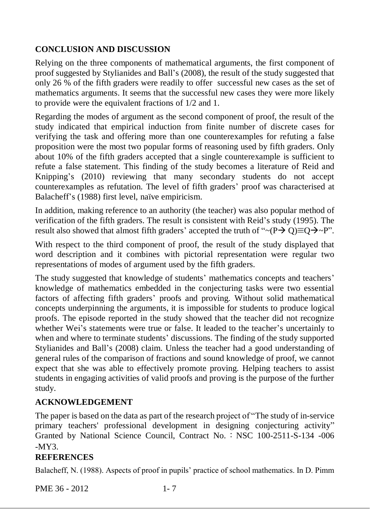## **CONCLUSION AND DISCUSSION**

Relying on the three components of mathematical arguments, the first component of proof suggested by Stylianides and Ball's (2008), the result of the study suggested that only 26 % of the fifth graders were readily to offer successful new cases as the set of mathematics arguments. It seems that the successful new cases they were more likely to provide were the equivalent fractions of 1/2 and 1.

Regarding the modes of argument as the second component of proof, the result of the study indicated that empirical induction from finite number of discrete cases for verifying the task and offering more than one counterexamples for refuting a false proposition were the most two popular forms of reasoning used by fifth graders. Only about 10% of the fifth graders accepted that a single counterexample is sufficient to refute a false statement. This finding of the study becomes a literature of Reid and Knipping's (2010) reviewing that many secondary students do not accept counterexamples as refutation. The level of fifth graders' proof was characterised at Balacheff's (1988) first level, naïve empiricism.

In addition, making reference to an authority (the teacher) was also popular method of verification of the fifth graders. The result is consistent with Reid's study (1995). The result also showed that almost fifth graders' accepted the truth of " $\sim (P \rightarrow Q) \equiv Q \rightarrow \sim P$ ".

With respect to the third component of proof, the result of the study displayed that word description and it combines with pictorial representation were regular two representations of modes of argument used by the fifth graders.

The study suggested that knowledge of students' mathematics concepts and teachers' knowledge of mathematics embedded in the conjecturing tasks were two essential factors of affecting fifth graders' proofs and proving. Without solid mathematical concepts underpinning the arguments, it is impossible for students to produce logical proofs. The episode reported in the study showed that the teacher did not recognize whether Wei's statements were true or false. It leaded to the teacher's uncertainly to when and where to terminate students' discussions. The finding of the study supported Stylianides and Ball's (2008) claim. Unless the teacher had a good understanding of general rules of the comparison of fractions and sound knowledge of proof, we cannot expect that she was able to effectively promote proving. Helping teachers to assist students in engaging activities of valid proofs and proving is the purpose of the further study.

#### **ACKNOWLEDGEMENT**

The paper is based on the data as part of the research project of "The study of in-service primary teachers' professional development in designing conjecturing activity" Granted by National Science Council, Contract No. : NSC 100-2511-S-134 -006  $-MY3$ .

## **REFERENCES**

Balacheff, N. (1988). Aspects of proof in pupils' practice of school mathematics. In D. Pimm

PME 36 - 2012 1-7